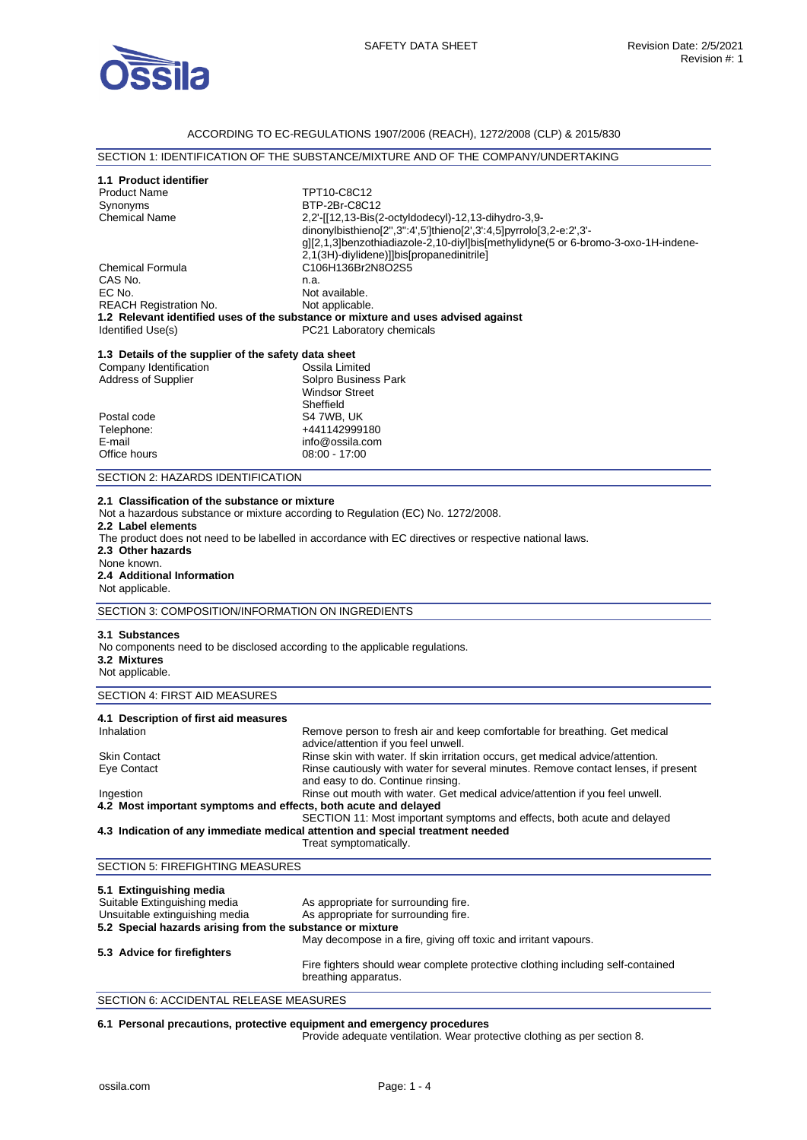

## ACCORDING TO EC-REGULATIONS 1907/2006 (REACH), 1272/2008 (CLP) & 2015/830

| 1.1 Product identifier                                                                                                           |                                                                                                                                                                                            |  |  |
|----------------------------------------------------------------------------------------------------------------------------------|--------------------------------------------------------------------------------------------------------------------------------------------------------------------------------------------|--|--|
| <b>Product Name</b>                                                                                                              | TPT10-C8C12<br>BTP-2Br-C8C12                                                                                                                                                               |  |  |
| Synonyms<br><b>Chemical Name</b>                                                                                                 |                                                                                                                                                                                            |  |  |
|                                                                                                                                  | 2,2'-[[12,13-Bis(2-octyldodecyl)-12,13-dihydro-3,9-<br>dinonylbisthieno[2",3":4',5']thieno[2',3':4,5]pyrrolo[3,2-e:2',3'-                                                                  |  |  |
|                                                                                                                                  | g][2,1,3]benzothiadiazole-2,10-diyl]bis[methylidyne(5 or 6-bromo-3-oxo-1H-indene-                                                                                                          |  |  |
|                                                                                                                                  | 2,1(3H)-diylidene)]]bis[propanedinitrile]                                                                                                                                                  |  |  |
| <b>Chemical Formula</b>                                                                                                          | C106H136Br2N8O2S5                                                                                                                                                                          |  |  |
| CAS No.                                                                                                                          | n.a.                                                                                                                                                                                       |  |  |
| EC No.                                                                                                                           | Not available.                                                                                                                                                                             |  |  |
| <b>REACH Registration No.</b>                                                                                                    | Not applicable.                                                                                                                                                                            |  |  |
|                                                                                                                                  | 1.2 Relevant identified uses of the substance or mixture and uses advised against                                                                                                          |  |  |
| Identified Use(s)                                                                                                                | PC21 Laboratory chemicals                                                                                                                                                                  |  |  |
|                                                                                                                                  |                                                                                                                                                                                            |  |  |
| 1.3 Details of the supplier of the safety data sheet                                                                             |                                                                                                                                                                                            |  |  |
| Company Identification                                                                                                           | Ossila Limited                                                                                                                                                                             |  |  |
| Address of Supplier                                                                                                              | Solpro Business Park                                                                                                                                                                       |  |  |
|                                                                                                                                  | <b>Windsor Street</b>                                                                                                                                                                      |  |  |
|                                                                                                                                  | Sheffield                                                                                                                                                                                  |  |  |
| Postal code                                                                                                                      | S4 7WB, UK                                                                                                                                                                                 |  |  |
| Telephone:                                                                                                                       | +441142999180                                                                                                                                                                              |  |  |
| E-mail                                                                                                                           | info@ossila.com                                                                                                                                                                            |  |  |
| Office hours                                                                                                                     | 08:00 - 17:00                                                                                                                                                                              |  |  |
| SECTION 2: HAZARDS IDENTIFICATION                                                                                                |                                                                                                                                                                                            |  |  |
| 2.2 Label elements<br>2.3 Other hazards<br>None known.<br>2.4 Additional Information<br>Not applicable.                          | Not a hazardous substance or mixture according to Regulation (EC) No. 1272/2008.<br>The product does not need to be labelled in accordance with EC directives or respective national laws. |  |  |
|                                                                                                                                  |                                                                                                                                                                                            |  |  |
| SECTION 3: COMPOSITION/INFORMATION ON INGREDIENTS                                                                                |                                                                                                                                                                                            |  |  |
| 3.1 Substances<br>No components need to be disclosed according to the applicable regulations.<br>3.2 Mixtures<br>Not applicable. |                                                                                                                                                                                            |  |  |
| SECTION 4: FIRST AID MEASURES                                                                                                    |                                                                                                                                                                                            |  |  |
|                                                                                                                                  |                                                                                                                                                                                            |  |  |
| 4.1 Description of first aid measures<br>Inhalation                                                                              |                                                                                                                                                                                            |  |  |
|                                                                                                                                  | Remove person to fresh air and keep comfortable for breathing. Get medical<br>advice/attention if you feel unwell.                                                                         |  |  |
| Skin Contact                                                                                                                     |                                                                                                                                                                                            |  |  |
| Eye Contact                                                                                                                      | Rinse skin with water. If skin irritation occurs, get medical advice/attention.<br>Rinse cautiously with water for several minutes. Remove contact lenses, if present                      |  |  |
|                                                                                                                                  | and easy to do. Continue rinsing.                                                                                                                                                          |  |  |
| Ingestion                                                                                                                        | Rinse out mouth with water. Get medical advice/attention if you feel unwell.                                                                                                               |  |  |
| 4.2 Most important symptoms and effects, both acute and delayed                                                                  |                                                                                                                                                                                            |  |  |
|                                                                                                                                  | SECTION 11: Most important symptoms and effects, both acute and delayed                                                                                                                    |  |  |
|                                                                                                                                  | 4.3 Indication of any immediate medical attention and special treatment needed<br>Treat symptomatically.                                                                                   |  |  |
| <b>SECTION 5: FIREFIGHTING MEASURES</b>                                                                                          |                                                                                                                                                                                            |  |  |
|                                                                                                                                  |                                                                                                                                                                                            |  |  |
| 5.1 Extinguishing media                                                                                                          |                                                                                                                                                                                            |  |  |
| Suitable Extinguishing media                                                                                                     | As appropriate for surrounding fire.                                                                                                                                                       |  |  |
| Unsuitable extinguishing media                                                                                                   | As appropriate for surrounding fire.                                                                                                                                                       |  |  |
| 5.2 Special hazards arising from the substance or mixture                                                                        |                                                                                                                                                                                            |  |  |
|                                                                                                                                  | May decompose in a fire, giving off toxic and irritant vapours.                                                                                                                            |  |  |
| 5.3 Advice for firefighters                                                                                                      | Fire fighters should wear complete protective clothing including self-contained                                                                                                            |  |  |

SECTION 6: ACCIDENTAL RELEASE MEASURES

### **6.1 Personal precautions, protective equipment and emergency procedures**

Provide adequate ventilation. Wear protective clothing as per section 8.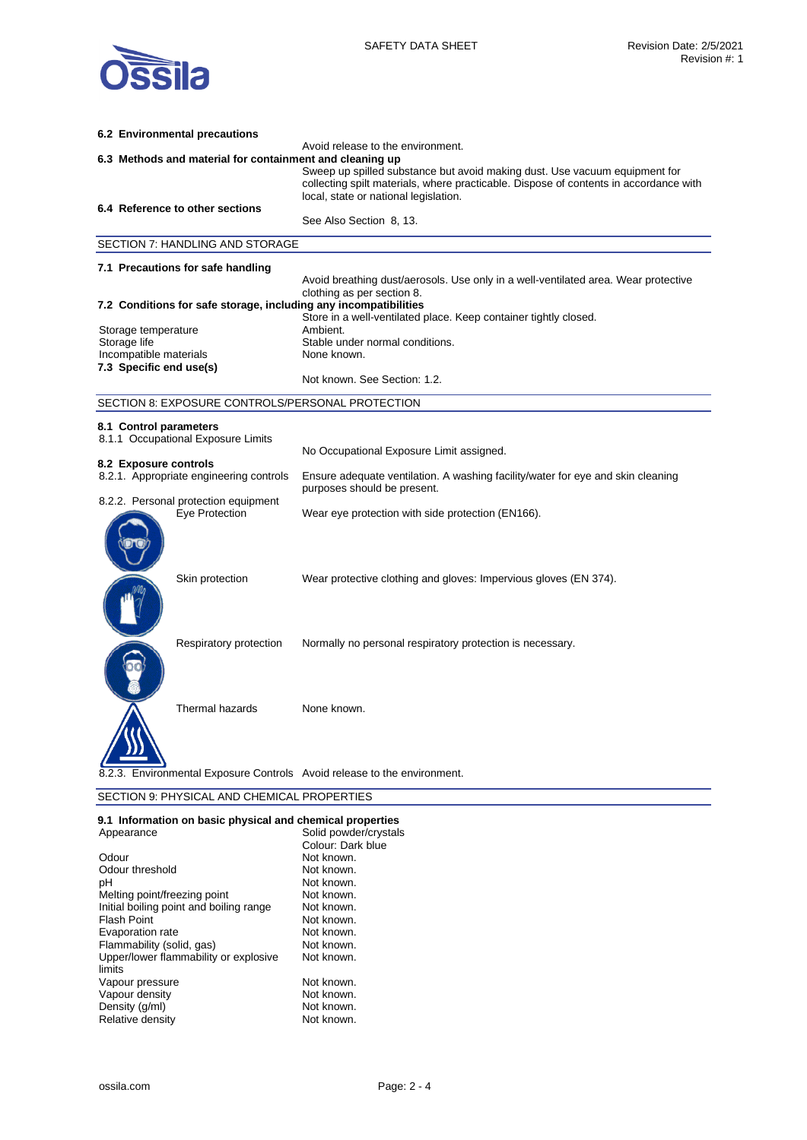

| 6.2 Environmental precautions                                            |                                                                                                                                                                                                              |
|--------------------------------------------------------------------------|--------------------------------------------------------------------------------------------------------------------------------------------------------------------------------------------------------------|
| 6.3 Methods and material for containment and cleaning up                 | Avoid release to the environment.                                                                                                                                                                            |
|                                                                          | Sweep up spilled substance but avoid making dust. Use vacuum equipment for<br>collecting spilt materials, where practicable. Dispose of contents in accordance with<br>local, state or national legislation. |
| 6.4 Reference to other sections                                          |                                                                                                                                                                                                              |
|                                                                          | See Also Section 8, 13.                                                                                                                                                                                      |
| SECTION 7: HANDLING AND STORAGE                                          |                                                                                                                                                                                                              |
| 7.1 Precautions for safe handling                                        |                                                                                                                                                                                                              |
|                                                                          | Avoid breathing dust/aerosols. Use only in a well-ventilated area. Wear protective<br>clothing as per section 8.                                                                                             |
| 7.2 Conditions for safe storage, including any incompatibilities         | Store in a well-ventilated place. Keep container tightly closed.                                                                                                                                             |
| Storage temperature                                                      | Ambient.                                                                                                                                                                                                     |
| Storage life                                                             | Stable under normal conditions.                                                                                                                                                                              |
| Incompatible materials<br>7.3 Specific end use(s)                        | None known.                                                                                                                                                                                                  |
|                                                                          | Not known. See Section: 1.2.                                                                                                                                                                                 |
| SECTION 8: EXPOSURE CONTROLS/PERSONAL PROTECTION                         |                                                                                                                                                                                                              |
| 8.1 Control parameters<br>8.1.1 Occupational Exposure Limits             |                                                                                                                                                                                                              |
| 8.2 Exposure controls                                                    | No Occupational Exposure Limit assigned.                                                                                                                                                                     |
| 8.2.1. Appropriate engineering controls                                  | Ensure adequate ventilation. A washing facility/water for eye and skin cleaning<br>purposes should be present.                                                                                               |
| 8.2.2. Personal protection equipment<br>Eye Protection                   | Wear eye protection with side protection (EN166).                                                                                                                                                            |
| Skin protection                                                          | Wear protective clothing and gloves: Impervious gloves (EN 374).                                                                                                                                             |
| Respiratory protection                                                   | Normally no personal respiratory protection is necessary.                                                                                                                                                    |
| Thermal hazards                                                          | None known.                                                                                                                                                                                                  |
| 8.2.3. Environmental Exposure Controls Avoid release to the environment. |                                                                                                                                                                                                              |
| SECTION 9: PHYSICAL AND CHEMICAL PROPERTIES                              |                                                                                                                                                                                                              |

# **9.1 Information on basic physical and chemical properties**

| Appearance                              | Solid powder/crystals |
|-----------------------------------------|-----------------------|
|                                         | Colour: Dark blue     |
| Odour                                   | Not known.            |
| Odour threshold                         | Not known.            |
| рH                                      | Not known.            |
| Melting point/freezing point            | Not known.            |
| Initial boiling point and boiling range | Not known.            |
| <b>Flash Point</b>                      | Not known.            |
| Evaporation rate                        | Not known.            |
| Flammability (solid, gas)               | Not known.            |
| Upper/lower flammability or explosive   | Not known.            |
| limits                                  |                       |
| Vapour pressure                         | Not known.            |
| Vapour density                          | Not known.            |
| Density (q/ml)                          | Not known.            |
| Relative density                        | Not known.            |
|                                         |                       |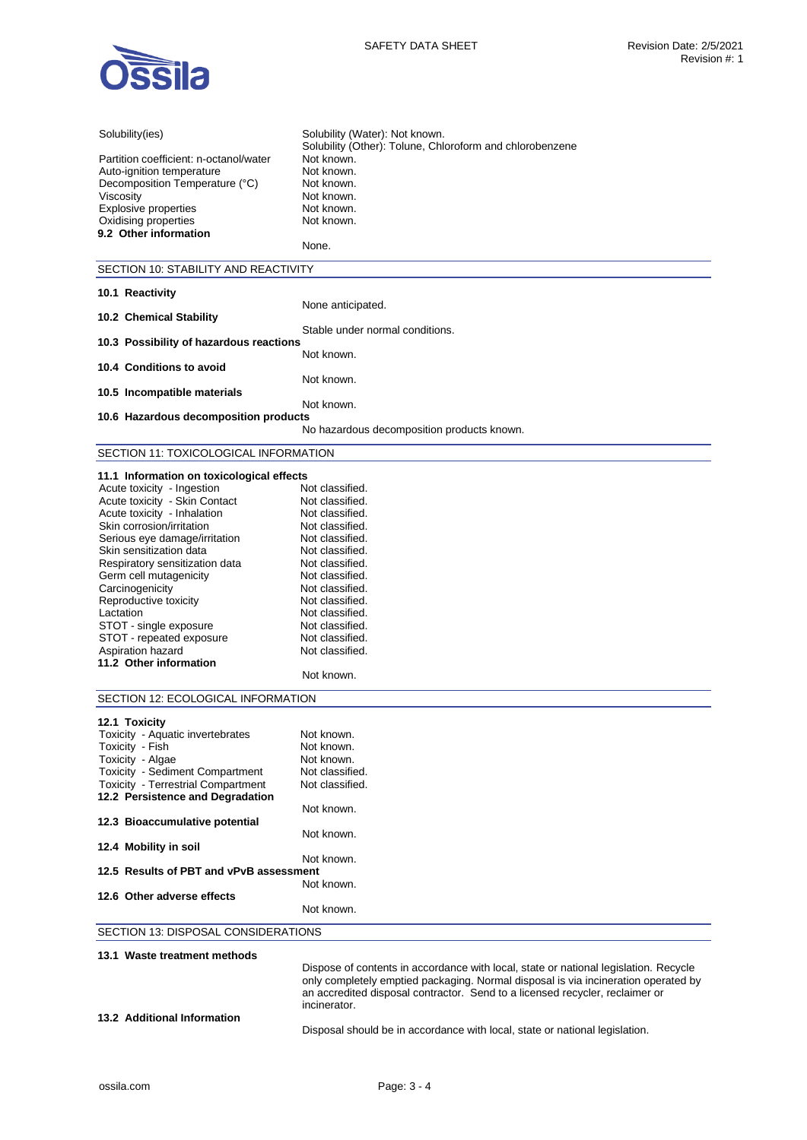

| Solubility(ies)                                   | Solubility (Water): Not known.                                                       |
|---------------------------------------------------|--------------------------------------------------------------------------------------|
|                                                   | Solubility (Other): Tolune, Chloroform and chlorobenzene                             |
| Partition coefficient: n-octanol/water            | Not known.                                                                           |
| Auto-ignition temperature                         | Not known.                                                                           |
| Decomposition Temperature (°C)                    | Not known.                                                                           |
| Viscosity                                         | Not known.                                                                           |
| <b>Explosive properties</b>                       | Not known.                                                                           |
| Oxidising properties                              | Not known.                                                                           |
| 9.2 Other information                             |                                                                                      |
|                                                   | None.                                                                                |
| SECTION 10: STABILITY AND REACTIVITY              |                                                                                      |
|                                                   |                                                                                      |
| 10.1 Reactivity                                   |                                                                                      |
|                                                   | None anticipated.                                                                    |
| 10.2 Chemical Stability                           | Stable under normal conditions.                                                      |
| 10.3 Possibility of hazardous reactions           |                                                                                      |
|                                                   | Not known.                                                                           |
| 10.4 Conditions to avoid                          |                                                                                      |
|                                                   | Not known.                                                                           |
| 10.5 Incompatible materials                       |                                                                                      |
|                                                   | Not known.                                                                           |
| 10.6 Hazardous decomposition products             |                                                                                      |
|                                                   | No hazardous decomposition products known.                                           |
| SECTION 11: TOXICOLOGICAL INFORMATION             |                                                                                      |
|                                                   |                                                                                      |
| 11.1 Information on toxicological effects         |                                                                                      |
| Acute toxicity - Ingestion                        | Not classified.                                                                      |
| Acute toxicity - Skin Contact                     | Not classified.                                                                      |
| Acute toxicity - Inhalation                       | Not classified.                                                                      |
| Skin corrosion/irritation                         | Not classified.                                                                      |
| Serious eye damage/irritation                     | Not classified.                                                                      |
| Skin sensitization data                           | Not classified.                                                                      |
| Respiratory sensitization data                    | Not classified.                                                                      |
| Germ cell mutagenicity                            | Not classified.                                                                      |
| Carcinogenicity                                   | Not classified.                                                                      |
| Reproductive toxicity                             | Not classified.                                                                      |
| Lactation                                         | Not classified.                                                                      |
| STOT - single exposure                            | Not classified.                                                                      |
| STOT - repeated exposure                          | Not classified.                                                                      |
| Aspiration hazard                                 | Not classified.                                                                      |
| 11.2 Other information                            | Not known.                                                                           |
|                                                   |                                                                                      |
| SECTION 12: ECOLOGICAL INFORMATION                |                                                                                      |
|                                                   |                                                                                      |
| 12.1 Toxicity<br>Toxicity - Aquatic invertebrates | Not known                                                                            |
| Toxicity - Fish                                   | Not known.                                                                           |
| Toxicity - Algae                                  | Not known.                                                                           |
| Toxicity - Sediment Compartment                   | Not classified.                                                                      |
| <b>Toxicity - Terrestrial Compartment</b>         | Not classified.                                                                      |
| 12.2 Persistence and Degradation                  |                                                                                      |
|                                                   | Not known.                                                                           |
| 12.3 Bioaccumulative potential                    |                                                                                      |
|                                                   | Not known.                                                                           |
| 12.4 Mobility in soil                             |                                                                                      |
|                                                   | Not known.                                                                           |
| 12.5 Results of PBT and vPvB assessment           |                                                                                      |
| 12.6 Other adverse effects                        | Not known.                                                                           |
|                                                   | Not known.                                                                           |
|                                                   |                                                                                      |
| SECTION 13: DISPOSAL CONSIDERATIONS               |                                                                                      |
| 13.1 Waste treatment methods                      |                                                                                      |
|                                                   | Dispose of contents in accordance with local, state or national legislation. Recycle |
|                                                   | only completely emptied packaging. Normal disposal is via incineration operated by   |
|                                                   | an accredited disposal contractor. Send to a licensed recycler, reclaimer or         |
|                                                   | incinerator.                                                                         |
| 13.2 Additional Information                       |                                                                                      |